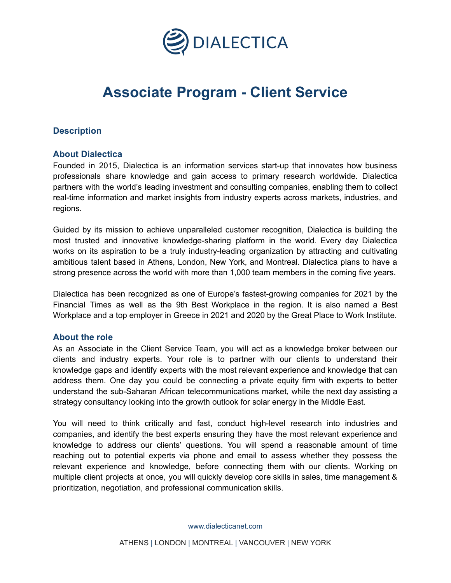

# **Associate Program - Client Service**

## **Description**

## **About Dialectica**

Founded in 2015, Dialectica is an information services start-up that innovates how business professionals share knowledge and gain access to primary research worldwide. Dialectica partners with the world's leading investment and consulting companies, enabling them to collect real-time information and market insights from industry experts across markets, industries, and regions.

Guided by its mission to achieve unparalleled customer recognition, Dialectica is building the most trusted and innovative knowledge-sharing platform in the world. Every day Dialectica works on its aspiration to be a truly industry-leading organization by attracting and cultivating ambitious talent based in Athens, London, New York, and Montreal. Dialectica plans to have a strong presence across the world with more than 1,000 team members in the coming five years.

Dialectica has been recognized as one of Europe's fastest-growing companies for 2021 by the Financial Times as well as the 9th Best Workplace in the region. It is also named a Best Workplace and a top employer in Greece in 2021 and 2020 by the Great Place to Work Institute.

## **About the role**

As an Associate in the Client Service Team, you will act as a knowledge broker between our clients and industry experts. Your role is to partner with our clients to understand their knowledge gaps and identify experts with the most relevant experience and knowledge that can address them. One day you could be connecting a private equity firm with experts to better understand the sub-Saharan African telecommunications market, while the next day assisting a strategy consultancy looking into the growth outlook for solar energy in the Middle East.

You will need to think critically and fast, conduct high-level research into industries and companies, and identify the best experts ensuring they have the most relevant experience and knowledge to address our clients' questions. You will spend a reasonable amount of time reaching out to potential experts via phone and email to assess whether they possess the relevant experience and knowledge, before connecting them with our clients. Working on multiple client projects at once, you will quickly develop core skills in sales, time management & prioritization, negotiation, and professional communication skills.

[www.dialecticanet.com](http://www.dialecticanet.com)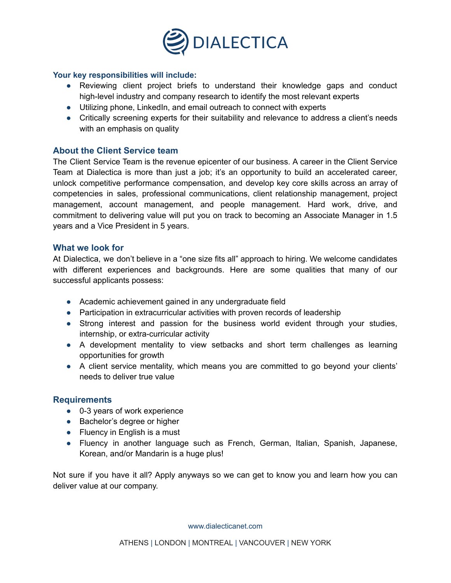

#### **Your key responsibilities will include:**

- Reviewing client project briefs to understand their knowledge gaps and conduct high-level industry and company research to identify the most relevant experts
- Utilizing phone, LinkedIn, and email outreach to connect with experts
- Critically screening experts for their suitability and relevance to address a client's needs with an emphasis on quality

## **About the Client Service team**

The Client Service Team is the revenue epicenter of our business. A career in the Client Service Team at Dialectica is more than just a job; it's an opportunity to build an accelerated career, unlock competitive performance compensation, and develop key core skills across an array of competencies in sales, professional communications, client relationship management, project management, account management, and people management. Hard work, drive, and commitment to delivering value will put you on track to becoming an Associate Manager in 1.5 years and a Vice President in 5 years.

#### **What we look for**

At Dialectica, we don't believe in a "one size fits all" approach to hiring. We welcome candidates with different experiences and backgrounds. Here are some qualities that many of our successful applicants possess:

- Academic achievement gained in any undergraduate field
- Participation in extracurricular activities with proven records of leadership
- Strong interest and passion for the business world evident through your studies, internship, or extra-curricular activity
- A development mentality to view setbacks and short term challenges as learning opportunities for growth
- A client service mentality, which means you are committed to go beyond your clients' needs to deliver true value

## **Requirements**

- 0-3 years of work experience
- Bachelor's degree or higher
- $\bullet$  Fluency in English is a must
- Fluency in another language such as French, German, Italian, Spanish, Japanese, Korean, and/or Mandarin is a huge plus!

Not sure if you have it all? Apply anyways so we can get to know you and learn how you can deliver value at our company.

[www.dialecticanet.com](http://www.dialecticanet.com)